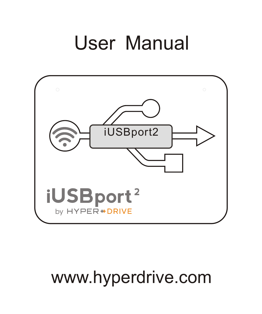# User Manual



# www.hyperdrive.com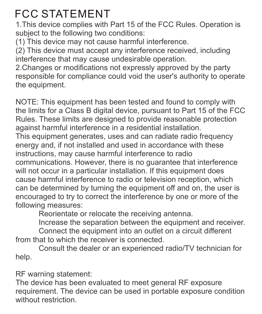# **FCC STATEMENT**

1.This device complies with Part 15 of the FCC Rules. Operation is subject to the following two conditions:

(1) This device may not cause harmful interference.

(2) This device must accept any interference received, including interference that may cause undesirable operation.

2.Changes or modifications not expressly approved by the party responsible for compliance could void the user's authority to operate the equipment.

NOTE: This equipment has been tested and found to comply with the limits for a Class B digital device, pursuant to Part 15 of the FCC Rules. These limits are designed to provide reasonable protection against harmful interference in a residential installation.

This equipment generates, uses and can radiate radio frequency energy and, if not installed and used in accordance with these instructions, may cause harmful interference to radio

communications. However, there is no guarantee that interference will not occur in a particular installation. If this equipment does cause harmful interference to radio or television reception, which can be determined by turning the equipment off and on, the user is encouraged to try to correct the interference by one or more of the following measures:

Reorientate or relocate the receiving antenna.

Increase the separation between the equipment and receiver. Connect the equipment into an outlet on a circuit different from that to which the receiver is connected.

Consult the dealer or an experienced radio/TV technician for help.

RF warning statement:

The device has been evaluated to meet general RF exposure requirement. The device can be used in portable exposure condition without restriction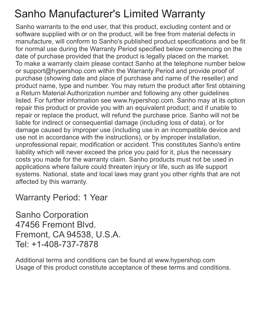#### **Sanho Manufacturer's Limited Warranty**

Sanho warrants to the end user, that this product, excluding content and or software supplied with or on the product, will be free from material defects in manufacture, will conform to Sanho's published product specifications and be fit for normal use during the Warranty Period specified below commencing on the date of purchase provided that the product is legally placed on the market. To make a warranty claim please contact Sanho at the telephone number below or support@hypershop.com within the Warranty Period and provide proof of purchase (showing date and place of purchase and name of the reseller) and product name, type and number. You may return the product after first obtaining a Return Material Authorization number and following any other guidelines listed. For further information see www.hypershop.com. Sanho may at its option repair this product or provide you with an equivalent product; and if unable to repair or replace the product, will refund the purchase price. Sanho will not be liable for indirect or consequential damage (including loss of data), or for damage caused by improper use (including use in an incompatible device and use not in accordance with the instructions), or by improper installation, unprofessional repair, modification or accident. This constitutes Sanho's entire liability which will never exceed the price you paid for it, plus the necessary costs you made for the warranty claim. Sanho products must not be used in applications where failure could threaten injury or life, such as life support systems. National, state and local laws may grant you other rights that are not affected by this warranty.

Warranty Period: 1 Year

Sanho Corporation 47456 Fremont Blvd. Fremont, CA 94538, U.S.A. Tel: +1-408-737-7878

Additional terms and conditions can be found at www.hypershop.com Usage of this product constitute acceptance of these terms and conditions.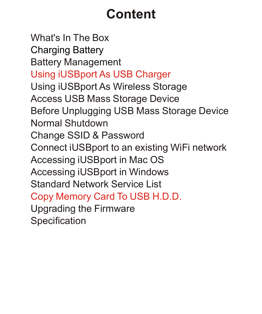# **Content**

What's In The Box Battery Management Using iUSBport As Wireless Storage Access USB Mass Storage Device Before Unplugging USB Mass Storage Device Normal Shutdown Change SSID & Password Connect iUSBport to an existing WiFi network Accessing iUSBport in Mac OS Accessing iUSBport in Windows Standard Network Service List Specification Charging Battery Using iUSBport As USB Charger Copy Memory Card To USB H.D.D. Upgrading the Firmware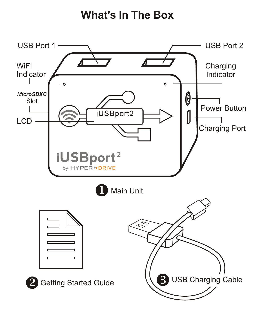**What's In The Box**

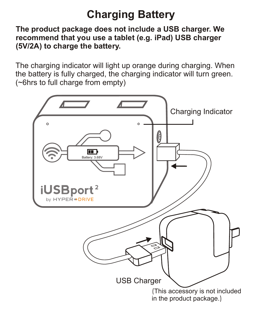# **Charging Battery**

**The product package does not include a USB charger. We recommend that you use a tablet (e.g. iPad) USB charger (5V/2A) to charge the battery.**

The charging indicator will light up orange during charging. When the battery is fully charged, the charging indicator will turn green. (~6hrs to full charge from empty)

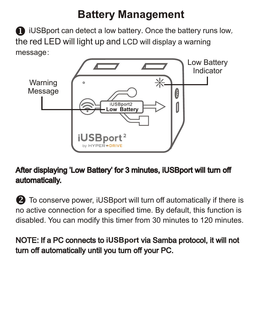**i** iUSB port can detect a low battery. Once the battery runs low, the red LED will light up and LCD will display a warning message:



#### After displaying 'Low Battery' for 3 minutes, iUSBport will turn off automatically.

**2** To conserve power, iUSBport will turn off automatically if there is no active connection for a specified time. By default, this function is disabled. You can modify this timer from 30 minutes to 120 minutes.

#### NOTE: If a PC connects to **iUSBport** via Samba protocol, it will not turn off automatically until you turn off your PC.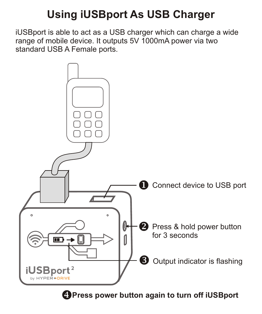### **Using iUSBport As USB Charger**

iUSBport is able to act as a USB charger which can charge a wide range of mobile device. It outputs 5V 1000mA power via two standard USB A Female ports.



**Press power button again to turn off iUSBport**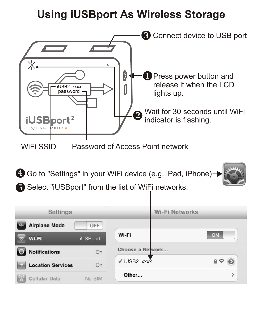#### **Using iUSBport As Wireless Storage**

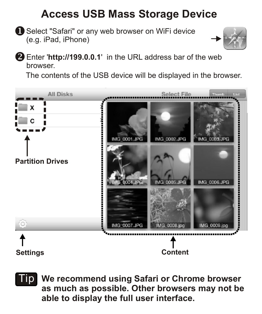#### **Access USB Mass Storage Device**

Select "Safari" or any web browser on WiFi device (e.g. iPad, iPhone)



Enter '**http://199.0.0.1**' in the URL address bar of the web browser.

The contents of the USB device will be displayed in the browser.



**We recommend using Safari or Chrome browser**  Tip**as much as possible. Other browsers may not be able to display the full user interface.**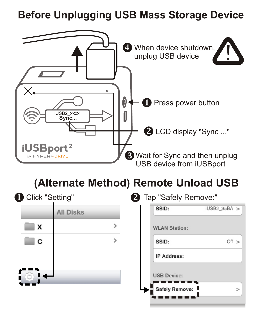#### **Before Unplugging USB Mass Storage Device**



#### **(Alternate Method) Remote Unload USB**

| Click "Setting"  | <sup>2</sup> Tap "Safely Remove:" |               |
|------------------|-----------------------------------|---------------|
| <b>All Disks</b> | SSID:                             | iUSB2_35BA >  |
| x                | <b>WLAN Station:</b>              |               |
| C                | SSID:                             | Off >         |
|                  | IP Address:                       |               |
|                  | <b>USB Device:</b>                |               |
|                  | Safely Remove:                    | $\rightarrow$ |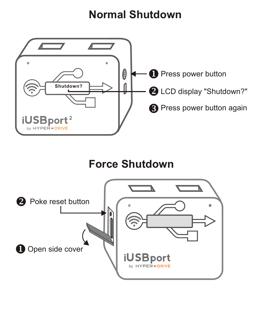#### **Normal Shutdown**



### **Force Shutdown**

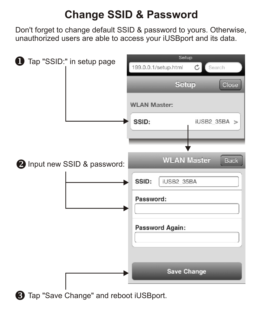### **Change SSID & Password**

Don't forget to change default SSID & password to yours. Otherwise, unauthorized users are able to access your iUSBport and its data.

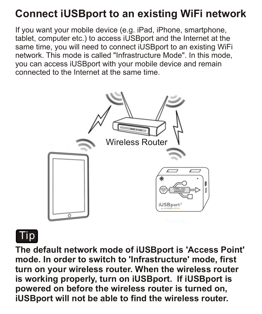#### **Connect iUSBport to an existing WiFi network**

If you want your mobile device (e.g. iPad, iPhone, smartphone, tablet, computer etc.) to access iUSBport and the Internet at the same time, you will need to connect iUSBport to an existing WiFi network. This mode is called "Infrastructure Mode". In this mode, you can access iUSBport with your mobile device and remain connected to the Internet at the same time.





**The default network mode of iUSBport is 'Access Point' mode. In order to switch to 'Infrastructure' mode, first turn on your wireless router. When the wireless router is working properly, turn on iUSBport. If iUSBport is powered on before the wireless router is turned on, iUSBport will not be able to find the wireless router.**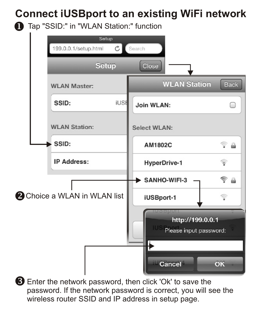#### **Connect iUSBport to an existing WiFi network**

**1** Tap "SSID:" in "WLAN Station:" function



Enter the network password, then click 'Ok' to save the password. If the network password is correct, you will see the wireless router SSID and IP address in setup page.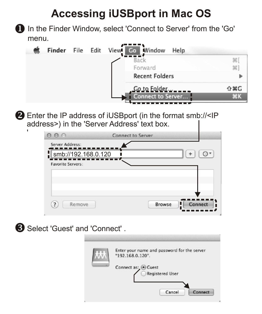### **Accessing iUSBport in Mac OS**

In the Finder Window, select 'Connect to Server' from the 'Go' menu.



Enter the IP address of iUSBport (in the format smb://<IP address>) in the 'Server Address' text box.

| $\theta$                                 | Connect to Server |        |         |
|------------------------------------------|-------------------|--------|---------|
| Server Address:                          |                   |        |         |
| smb://192.168.0.120<br>Favorite Servers: |                   |        |         |
|                                          |                   |        |         |
|                                          |                   |        |         |
| $\overline{z}$<br>Remove                 |                   | Browse | Connect |

Select 'Guest' and 'Connect' .

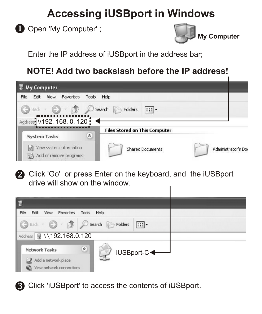#### **Accessing iUSBport in Windows**

Open 'My Computer' ;



Enter the IP address of iUSBport in the address bar;

#### **NOTE! Add two backslash before the IP address!**

| My Computer                                       |                                      |                     |
|---------------------------------------------------|--------------------------------------|---------------------|
| View<br>Favorites<br>Tools<br>File<br>Edit        | Help                                 |                     |
| Back -<br>Address 1192. 168. 0. 120               | Search<br>Folders<br>$111 -$         |                     |
| $\hat{\mathbf{x}}$<br><b>System Tasks</b>         | <b>Files Stored on This Computer</b> |                     |
| View system information<br>Add or remove programs | <b>Shared Documents</b>              | Administrator's Doc |

Click 'Go' or press Enter on the keyboard, and the iUSBport drive will show on the window.



Click 'iUSBport' to access the contents of iUSBport.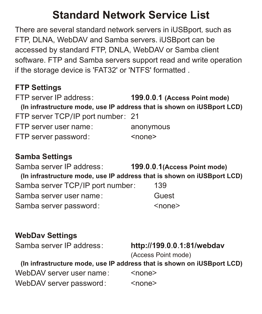#### **Standard Network Service List**

There are several standard network servers in iUSBport, such as FTP, DLNA, WebDAV and Samba servers. iUSBport can be accessed by standard FTP, DNLA, WebDAV or Samba client software. FTP and Samba servers support read and write operation if the storage device is 'FAT32' or 'NTFS' formatted .

#### **FTP Settings**

FTP server IP address: **199**.**0**.**0**.**1 (Access Point mode) (In infrastructure mode, use IP address that is shown on iUSBport LCD)** FTP server TCP/IP port number: 21 FTP server user name: anonymous FTP server password: <none>

#### **Samba Settings**

Samba server IP address: **199**.**0**.**0**.**1(Access Point mode) (In infrastructure mode, use IP address that is shown on iUSBport LCD)** Samba server TCP/IP port number: 139 Samba server user name: Guest Samba server password:  $\leq$ none>

#### **WebDav Settings**

#### Samba server IP address: **http://199**.**0**.**0**.**1:81/webdav**

(Access Point mode)

#### **(In infrastructure mode, use IP address that is shown on iUSBport LCD)**

WebDAV server user name: <none> WebDAV server password: <none>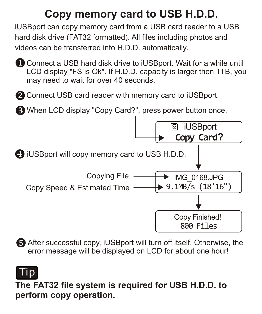### **Copy memory card to USB H.D.D.**

iUSBport can copy memory card from a USB card reader to a USB hard disk drive (FAT32 formatted). All files including photos and videos can be transferred into H.D.D. automatically.

Connect a USB hard disk drive to iUSBport. Wait for a while until LCD display "FS is Ok". If H.D.D. capacity is larger then 1TB, you may need to wait for over 40 seconds.

**2** Connect USB card reader with memory card to iUSBport.

When LCD display "Copy Card?", press power button once.



After successful copy, iUSBport will turn off itself. Otherwise, the error message will be displayed on LCD for about one hour!

# Tip

**The FAT32 file system is required for USB H.D.D. to perform copy operation.**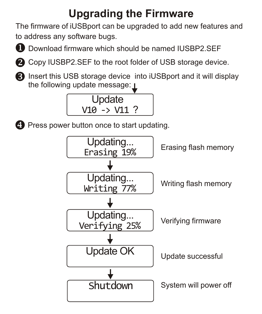# **Upgrading the Firmware**

The firmware of iUSBport can be upgraded to add new features and to address any software bugs.



Download firmware which should be named IUSBP2.SEF



**2** Copy IUSBP2.SEF to the root folder of USB storage device.



**B** Insert this USB storage device into iUSBport and it will display the following update message:  $\blacksquare$ 





**Press power button once to start updating.** 

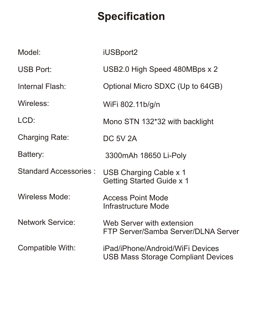# **Specification**

| Model <sup>-</sup>    | iUSBport2                                                              |
|-----------------------|------------------------------------------------------------------------|
| <b>USB Port:</b>      | USB2.0 High Speed 480MBps x 2                                          |
| Internal Flash:       | Optional Micro SDXC (Up to 64GB)                                       |
| Wireless:             | WiFi 802.11b/g/n                                                       |
| LCD:                  | Mono STN 132*32 with backlight                                         |
| Charging Rate:        | <b>DC 5V 2A</b>                                                        |
| Battery:              | 3300mAh 18650 Li-Poly                                                  |
| Standard Accessories: | USB Charging Cable x 1<br>Getting Started Guide x 1                    |
| Wireless Mode:        | Access Point Mode<br>Infrastructure Mode                               |
| Network Service:      | Web Server with extension<br>FTP Server/Samba Server/DLNA Server       |
| Compatible With:      | iPad/iPhone/Android/WiFi Devices<br>USB Mass Storage Compliant Devices |